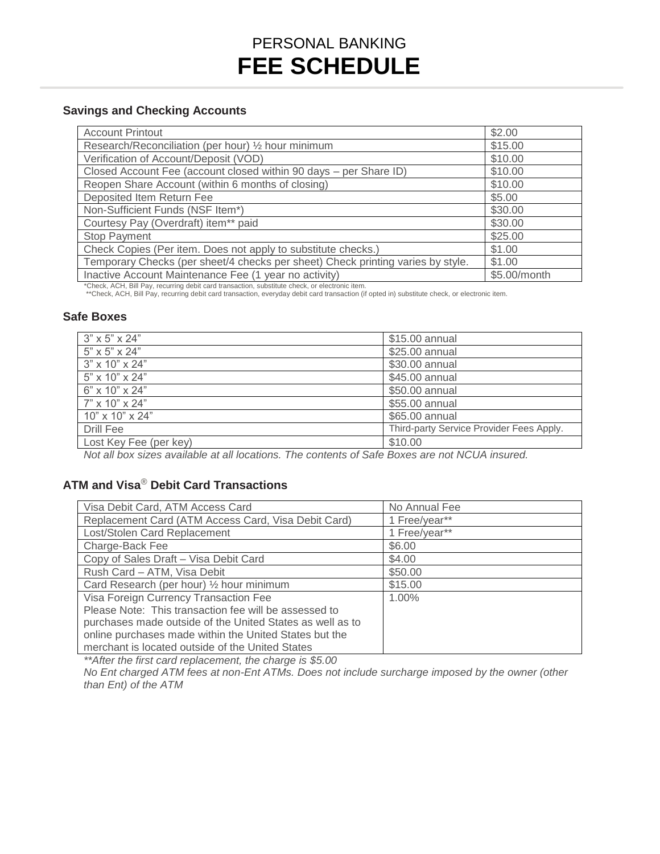# PERSONAL BANKING **FEE SCHEDULE**

### **Savings and Checking Accounts**

| <b>Account Printout</b>                                                                                                                                                                                                                         | \$2.00       |  |
|-------------------------------------------------------------------------------------------------------------------------------------------------------------------------------------------------------------------------------------------------|--------------|--|
| Research/Reconciliation (per hour) 1/2 hour minimum                                                                                                                                                                                             | \$15.00      |  |
| Verification of Account/Deposit (VOD)                                                                                                                                                                                                           | \$10.00      |  |
| Closed Account Fee (account closed within 90 days - per Share ID)                                                                                                                                                                               | \$10.00      |  |
| Reopen Share Account (within 6 months of closing)                                                                                                                                                                                               | \$10.00      |  |
| Deposited Item Return Fee                                                                                                                                                                                                                       | \$5.00       |  |
| Non-Sufficient Funds (NSF Item*)                                                                                                                                                                                                                | \$30.00      |  |
| Courtesy Pay (Overdraft) item** paid                                                                                                                                                                                                            | \$30.00      |  |
| <b>Stop Payment</b>                                                                                                                                                                                                                             | \$25.00      |  |
| Check Copies (Per item. Does not apply to substitute checks.)                                                                                                                                                                                   | \$1.00       |  |
| Temporary Checks (per sheet/4 checks per sheet) Check printing varies by style.                                                                                                                                                                 | \$1.00       |  |
| Inactive Account Maintenance Fee (1 year no activity)                                                                                                                                                                                           | \$5.00/month |  |
| *Check, ACH, Bill Pay, recurring debit card transaction, substitute check, or electronic item.<br>**Check, ACH, Bill Pay, recurring debit card transaction, everyday debit card transaction (if opted in) substitute check, or electronic item. |              |  |

#### **Safe Boxes**

| $3" \times 5" \times 24"$   | \$15.00 annual                           |
|-----------------------------|------------------------------------------|
| $5" \times 5" \times 24"$   | \$25.00 annual                           |
| 3" x 10" x 24"              | \$30.00 annual                           |
| 5" x 10" x 24"              | \$45.00 annual                           |
| 6" x 10" x 24"              | \$50.00 annual                           |
| 7" x 10" x 24"              | \$55.00 annual                           |
| $10" \times 10" \times 24"$ | \$65.00 annual                           |
| Drill Fee                   | Third-party Service Provider Fees Apply. |
| Lost Key Fee (per key)      | \$10.00                                  |
|                             |                                          |

*Not all box sizes available at all locations. The contents of Safe Boxes are not NCUA insured.* 

### **ATM and Visa**® **Debit Card Transactions**

| Visa Debit Card, ATM Access Card                          | No Annual Fee |
|-----------------------------------------------------------|---------------|
| Replacement Card (ATM Access Card, Visa Debit Card)       | 1 Free/year** |
| Lost/Stolen Card Replacement                              | 1 Free/year** |
| Charge-Back Fee                                           | \$6.00        |
| Copy of Sales Draft - Visa Debit Card                     | \$4.00        |
| Rush Card - ATM, Visa Debit                               | \$50.00       |
| Card Research (per hour) 1/2 hour minimum                 | \$15.00       |
| Visa Foreign Currency Transaction Fee                     | 1.00%         |
| Please Note: This transaction fee will be assessed to     |               |
| purchases made outside of the United States as well as to |               |
| online purchases made within the United States but the    |               |
| merchant is located outside of the United States          |               |

*\*\*After the first card replacement, the charge is \$5.00* 

 *No Ent charged ATM fees at non-Ent ATMs. Does not include surcharge imposed by the owner (other than Ent) of the ATM*